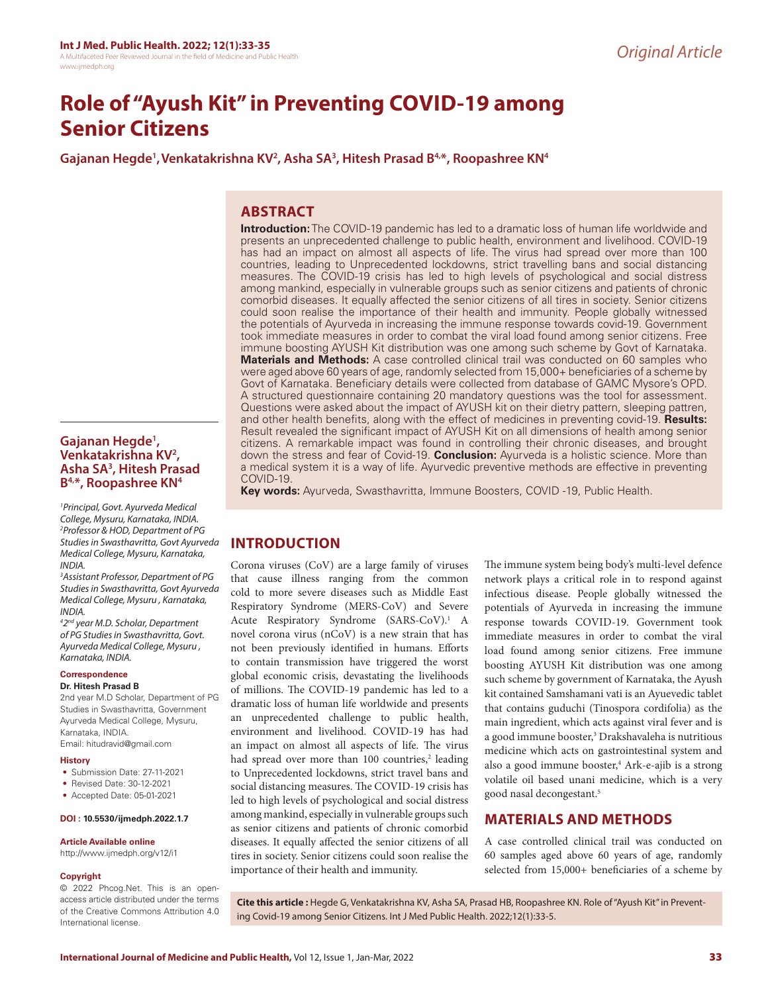# **Role of "Ayush Kit" in Preventing COVID-19 among Senior Citizens**

Gajanan Hegde<sup>1</sup>, Venkatakrishna KV<sup>2</sup>, Asha SA<sup>3</sup>, Hitesh Prasad B<sup>4,\*</sup>, Roopashree KN<sup>4</sup>

## **ABSTRACT**

**Introduction:** The COVID-19 pandemic has led to a dramatic loss of human life worldwide and presents an unprecedented challenge to public health, environment and livelihood. COVID-19 has had an impact on almost all aspects of life. The virus had spread over more than 100 countries, leading to Unprecedented lockdowns, strict travelling bans and social distancing measures. The COVID-19 crisis has led to high levels of psychological and social distress among mankind, especially in vulnerable groups such as senior citizens and patients of chronic comorbid diseases. It equally affected the senior citizens of all tires in society. Senior citizens could soon realise the importance of their health and immunity. People globally witnessed the potentials of Ayurveda in increasing the immune response towards covid-19. Government took immediate measures in order to combat the viral load found among senior citizens. Free immune boosting AYUSH Kit distribution was one among such scheme by Govt of Karnataka. **Materials and Methods:** A case controlled clinical trail was conducted on 60 samples who were aged above 60 years of age, randomly selected from 15,000+ beneficiaries of a scheme by Govt of Karnataka. Beneficiary details were collected from database of GAMC Mysore's OPD. A structured questionnaire containing 20 mandatory questions was the tool for assessment. Questions were asked about the impact of AYUSH kit on their dietry pattern, sleeping pattren, and other health benefits, along with the effect of medicines in preventing covid-19. **Results:** Result revealed the significant impact of AYUSH Kit on all dimensions of health among senior citizens. A remarkable impact was found in controlling their chronic diseases, and brought down the stress and fear of Covid-19. **Conclusion:** Ayurveda is a holistic science. More than a medical system it is a way of life. Ayurvedic preventive methods are effective in preventing COVID-19.

**Key words:** Ayurveda, Swasthavritta, Immune Boosters, COVID -19, Public Health.

# **INTRODUCTION**

Corona viruses (CoV) are a large family of viruses that cause illness ranging from the common cold to more severe diseases such as Middle East Respiratory Syndrome (MERS-CoV) and Severe Acute Respiratory Syndrome (SARS-CoV).<sup>1</sup> A novel corona virus (nCoV) is a new strain that has not been previously identified in humans. Efforts to contain transmission have triggered the worst global economic crisis, devastating the livelihoods of millions. The COVID-19 pandemic has led to a dramatic loss of human life worldwide and presents an unprecedented challenge to public health, environment and livelihood. COVID-19 has had an impact on almost all aspects of life. The virus had spread over more than 100 countries,<sup>2</sup> leading to Unprecedented lockdowns, strict travel bans and social distancing measures. The COVID-19 crisis has led to high levels of psychological and social distress among mankind, especially in vulnerable groups such as senior citizens and patients of chronic comorbid diseases. It equally affected the senior citizens of all tires in society. Senior citizens could soon realise the importance of their health and immunity.

The immune system being body's multi-level defence network plays a critical role in to respond against infectious disease. People globally witnessed the potentials of Ayurveda in increasing the immune response towards COVID-19. Government took immediate measures in order to combat the viral load found among senior citizens. Free immune boosting AYUSH Kit distribution was one among such scheme by government of Karnataka, the Ayush kit contained Samshamani vati is an Ayuevedic tablet that contains guduchi (Tinospora cordifolia) as the main ingredient, which acts against viral fever and is a good immune booster,<sup>3</sup> Drakshavaleha is nutritious medicine which acts on gastrointestinal system and also a good immune booster,4 Ark-e-ajib is a strong volatile oil based unani medicine, which is a very good nasal decongestant.5

# **MATERIALS AND METHODS**

A case controlled clinical trail was conducted on 60 samples aged above 60 years of age, randomly selected from 15,000+ beneficiaries of a scheme by

© 2022 Phcog.Net. This is an openaccess article distributed under the terms of the Creative Commons Attribution 4.0 International license.

**Gajanan Hegde1 , Venkatakrishna KV2 , Asha SA3 , Hitesh Prasad B4,\*, Roopashree KN4**

*INDIA.*

*INDIA.*

*Karnataka, INDIA.* **Correspondence Dr. Hitesh Prasad B**

Karnataka, INDIA. Email: hitudravid@gmail.com

**History**

**Copyright**

*1 Principal, Govt. Ayurveda Medical College, Mysuru, Karnataka, INDIA. 2 Professor & HOD, Department of PG Studies in Swasthavritta, Govt Ayurveda Medical College, Mysuru, Karnataka,* 

*3 Assistant Professor, Department of PG Studies in Swasthavritta, Govt Ayurveda Medical College, Mysuru , Karnataka,* 

*4 2nd year M.D. Scholar, Department of PG Studies in Swasthavritta, Govt. Ayurveda Medical College, Mysuru ,* 

2nd year M.D Scholar, Department of PG Studies in Swasthavritta, Government Ayurveda Medical College, Mysuru,

• Submission Date: 27-11-2021 • Revised Date: 30-12-2021 • Accepted Date: 05-01-2021 **DOI : 10.5530/ijmedph.2022.1.7**

**Article Available online**  http://www.ijmedph.org/v12/i1

> **Cite this article :** Hegde G, Venkatakrishna KV, Asha SA, Prasad HB, Roopashree KN. Role of "Ayush Kit" in Preventing Covid-19 among Senior Citizens. Int J Med Public Health. 2022;12(1):33-5.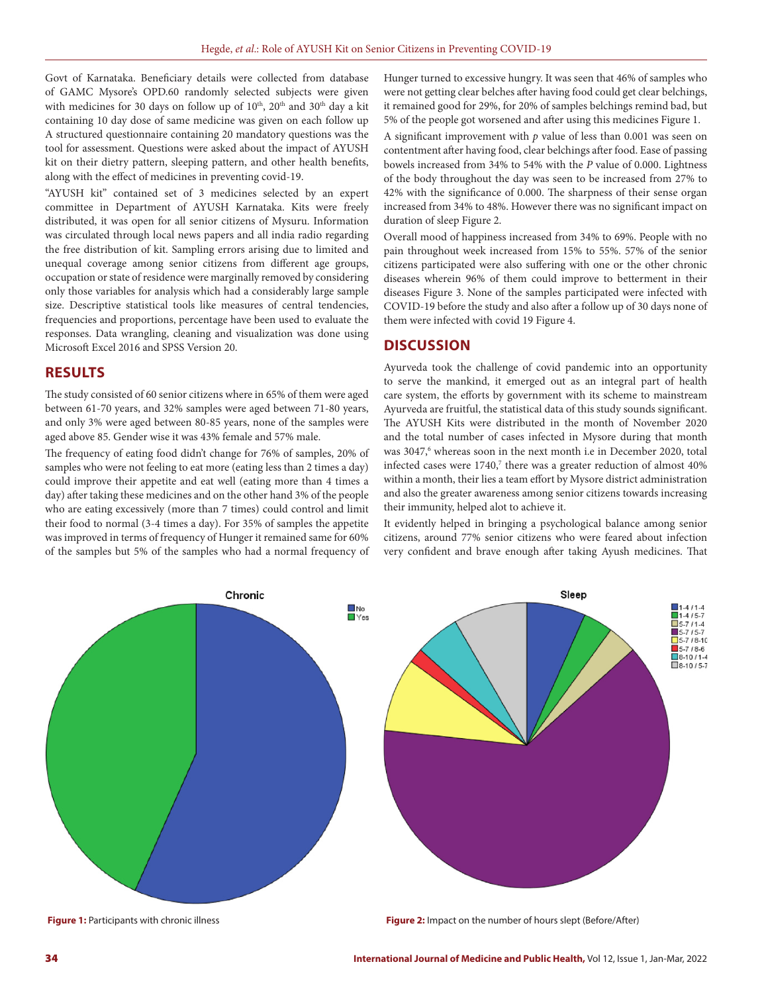Govt of Karnataka. Beneficiary details were collected from database of GAMC Mysore's OPD.60 randomly selected subjects were given with medicines for 30 days on follow up of 10<sup>th</sup>, 20<sup>th</sup> and 30<sup>th</sup> day a kit containing 10 day dose of same medicine was given on each follow up A structured questionnaire containing 20 mandatory questions was the tool for assessment. Questions were asked about the impact of AYUSH kit on their dietry pattern, sleeping pattern, and other health benefits, along with the effect of medicines in preventing covid-19.

"AYUSH kit" contained set of 3 medicines selected by an expert committee in Department of AYUSH Karnataka. Kits were freely distributed, it was open for all senior citizens of Mysuru. Information was circulated through local news papers and all india radio regarding the free distribution of kit. Sampling errors arising due to limited and unequal coverage among senior citizens from different age groups, occupation or state of residence were marginally removed by considering only those variables for analysis which had a considerably large sample size. Descriptive statistical tools like measures of central tendencies, frequencies and proportions, percentage have been used to evaluate the responses. Data wrangling, cleaning and visualization was done using Microsoft Excel 2016 and SPSS Version 20.

#### **RESULTS**

The study consisted of 60 senior citizens where in 65% of them were aged between 61-70 years, and 32% samples were aged between 71-80 years, and only 3% were aged between 80-85 years, none of the samples were aged above 85. Gender wise it was 43% female and 57% male.

The frequency of eating food didn't change for 76% of samples, 20% of samples who were not feeling to eat more (eating less than 2 times a day) could improve their appetite and eat well (eating more than 4 times a day) after taking these medicines and on the other hand 3% of the people who are eating excessively (more than 7 times) could control and limit their food to normal (3-4 times a day). For 35% of samples the appetite was improved in terms of frequency of Hunger it remained same for 60% of the samples but 5% of the samples who had a normal frequency of Hunger turned to excessive hungry. It was seen that 46% of samples who were not getting clear belches after having food could get clear belchings, it remained good for 29%, for 20% of samples belchings remind bad, but 5% of the people got worsened and after using this medicines Figure 1.

A significant improvement with *p* value of less than 0.001 was seen on contentment after having food, clear belchings after food. Ease of passing bowels increased from 34% to 54% with the *P* value of 0.000. Lightness of the body throughout the day was seen to be increased from 27% to 42% with the significance of 0.000. The sharpness of their sense organ increased from 34% to 48%. However there was no significant impact on duration of sleep Figure 2.

Overall mood of happiness increased from 34% to 69%. People with no pain throughout week increased from 15% to 55%. 57% of the senior citizens participated were also suffering with one or the other chronic diseases wherein 96% of them could improve to betterment in their diseases Figure 3. None of the samples participated were infected with COVID-19 before the study and also after a follow up of 30 days none of them were infected with covid 19 Figure 4.

#### **DISCUSSION**

Ayurveda took the challenge of covid pandemic into an opportunity to serve the mankind, it emerged out as an integral part of health care system, the efforts by government with its scheme to mainstream Ayurveda are fruitful, the statistical data of this study sounds significant. The AYUSH Kits were distributed in the month of November 2020 and the total number of cases infected in Mysore during that month was 3047,<sup>6</sup> whereas soon in the next month i.e in December 2020, total infected cases were  $1740$ ,<sup>7</sup> there was a greater reduction of almost  $40\%$ within a month, their lies a team effort by Mysore district administration and also the greater awareness among senior citizens towards increasing their immunity, helped alot to achieve it.

It evidently helped in bringing a psychological balance among senior citizens, around 77% senior citizens who were feared about infection very confident and brave enough after taking Ayush medicines. That